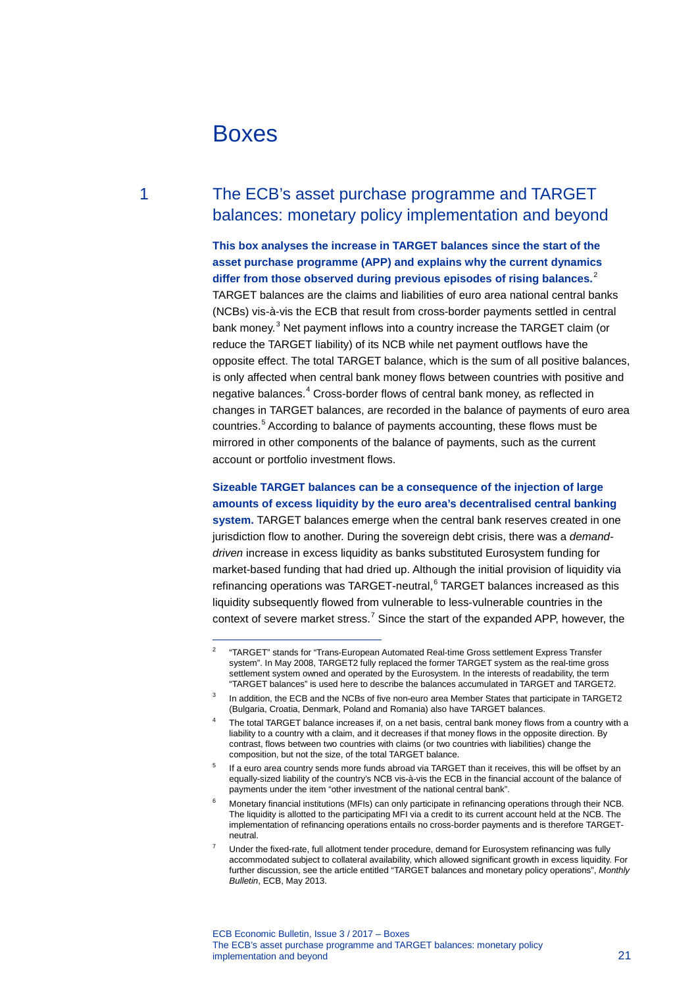# Boxes

## 1 The ECB's asset purchase programme and TARGET balances: monetary policy implementation and beyond

### **This box analyses the increase in TARGET balances since the start of the asset purchase programme (APP) and explains why the current dynamics differ from those observed during previous episodes of rising balances.**[2](#page-0-0)

TARGET balances are the claims and liabilities of euro area national central banks (NCBs) vis-à-vis the ECB that result from cross-border payments settled in central bank money.<sup>[3](#page-0-1)</sup> Net payment inflows into a country increase the TARGET claim (or reduce the TARGET liability) of its NCB while net payment outflows have the opposite effect. The total TARGET balance, which is the sum of all positive balances, is only affected when central bank money flows between countries with positive and negative balances.<sup>[4](#page-0-2)</sup> Cross-border flows of central bank money, as reflected in changes in TARGET balances, are recorded in the balance of payments of euro area countries.[5](#page-0-3) According to balance of payments accounting, these flows must be mirrored in other components of the balance of payments, such as the current account or portfolio investment flows.

### **Sizeable TARGET balances can be a consequence of the injection of large amounts of excess liquidity by the euro area's decentralised central banking**

**system.** TARGET balances emerge when the central bank reserves created in one jurisdiction flow to another. During the sovereign debt crisis, there was a *demanddriven* increase in excess liquidity as banks substituted Eurosystem funding for market-based funding that had dried up. Although the initial provision of liquidity via refinancing operations was TARGET-neutral,<sup>[6](#page-0-4)</sup> TARGET balances increased as this liquidity subsequently flowed from vulnerable to less-vulnerable countries in the context of severe market stress.<sup>[7](#page-0-5)</sup> Since the start of the expanded APP, however, the

<span id="page-0-0"></span> $\overline{2}$ <sup>2</sup> "TARGET" stands for "Trans-European Automated Real-time Gross settlement Express Transfer system". In May 2008, TARGET2 fully replaced the former TARGET system as the real-time gross settlement system owned and operated by the Eurosystem. In the interests of readability, the term "TARGET balances" is used here to describe the balances accumulated in TARGET and TARGET2.

In addition, the ECB and the NCBs of five non-euro area Member States that participate in TARGET2 (Bulgaria, Croatia, Denmark, Poland and Romania) also have TARGET balances.

<span id="page-0-2"></span><span id="page-0-1"></span>The total TARGET balance increases if, on a net basis, central bank money flows from a country with a liability to a country with a claim, and it decreases if that money flows in the opposite direction. By contrast, flows between two countries with claims (or two countries with liabilities) change the composition, but not the size, of the total TARGET balance.

<span id="page-0-3"></span><sup>&</sup>lt;sup>5</sup> If a euro area country sends more funds abroad via TARGET than it receives, this will be offset by an equally-sized liability of the country's NCB vis-à-vis the ECB in the financial account of the balance of payments under the item "other investment of the national central bank".

<span id="page-0-4"></span>Monetary financial institutions (MFIs) can only participate in refinancing operations through their NCB. The liquidity is allotted to the participating MFI via a credit to its current account held at the NCB. The implementation of refinancing operations entails no cross-border payments and is therefore TARGETneutral.

<span id="page-0-5"></span><sup>7</sup> Under the fixed-rate, full allotment tender procedure, demand for Eurosystem refinancing was fully accommodated subject to collateral availability, which allowed significant growth in excess liquidity. For further discussion, see the article entitled "TARGET balances and monetary policy operations", *Monthly Bulletin*, ECB, May 2013.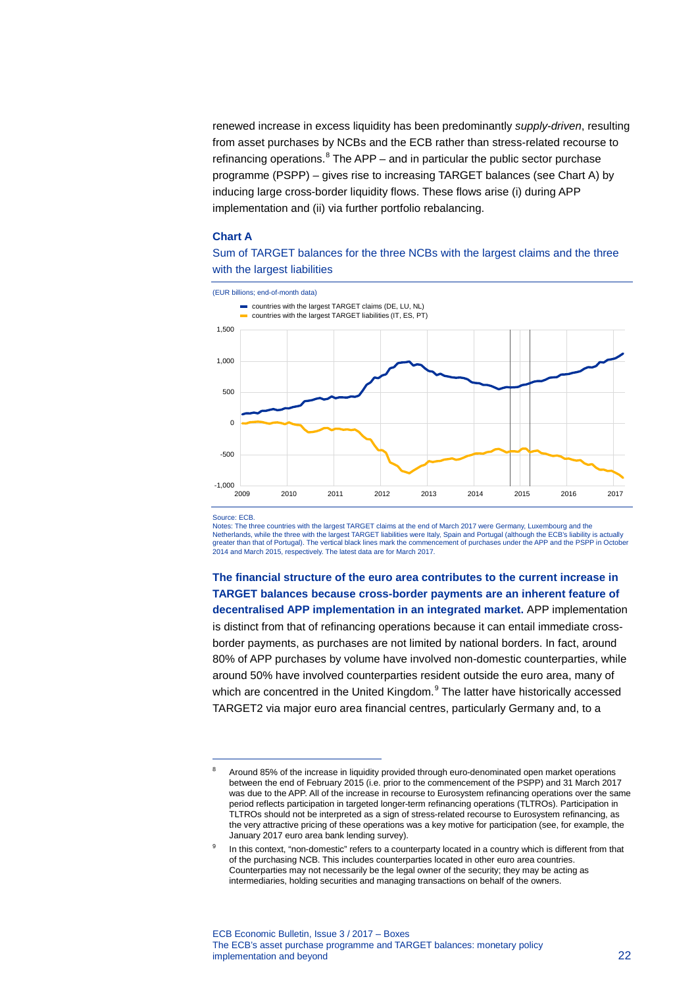renewed increase in excess liquidity has been predominantly *supply-driven*, resulting from asset purchases by NCBs and the ECB rather than stress-related recourse to refinancing operations. $8$  The APP – and in particular the public sector purchase programme (PSPP) – gives rise to increasing TARGET balances (see Chart A) by inducing large cross-border liquidity flows. These flows arise (i) during APP implementation and (ii) via further portfolio rebalancing.

#### **Chart A**

Sum of TARGET balances for the three NCBs with the largest claims and the three with the largest liabilities

(EUR billions; end-of-month data)



Source: ECB.

-

Notes: The three countries with the largest TARGET claims at the end of March 2017 were Germany, Luxembourg and the Netherlands, while the three with the largest TARGET liabilities were Italy, Spain and Portugal (although the ECB's liability is actually<br>greater than that of Portugal). The vertical black lines mark the commencement of pu 2014 and March 2015, respectively. The latest data are for March 2017.

**The financial structure of the euro area contributes to the current increase in TARGET balances because cross-border payments are an inherent feature of decentralised APP implementation in an integrated market.** APP implementation is distinct from that of refinancing operations because it can entail immediate crossborder payments, as purchases are not limited by national borders. In fact, around 80% of APP purchases by volume have involved non-domestic counterparties, while around 50% have involved counterparties resident outside the euro area, many of which are concentred in the United Kingdom.<sup>[9](#page-1-1)</sup> The latter have historically accessed TARGET2 via major euro area financial centres, particularly Germany and, to a

<span id="page-1-0"></span><sup>8</sup> Around 85% of the increase in liquidity provided through euro-denominated open market operations between the end of February 2015 (i.e. prior to the commencement of the PSPP) and 31 March 2017 was due to the APP. All of the increase in recourse to Eurosystem refinancing operations over the same period reflects participation in targeted longer-term refinancing operations (TLTROs). Participation in TLTROs should not be interpreted as a sign of stress-related recourse to Eurosystem refinancing, as the very attractive pricing of these operations was a key motive for participation (see, for example, the January 2017 euro area bank lending survey).

<span id="page-1-1"></span>In this context, "non-domestic" refers to a counterparty located in a country which is different from that of the purchasing NCB. This includes counterparties located in other euro area countries. Counterparties may not necessarily be the legal owner of the security; they may be acting as intermediaries, holding securities and managing transactions on behalf of the owners.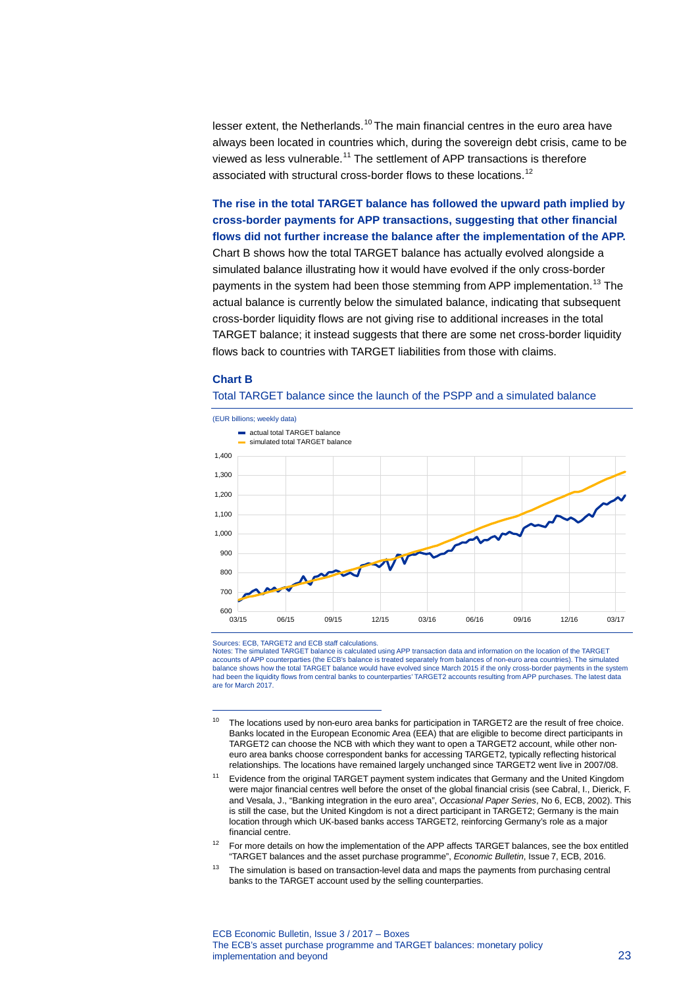lesser extent, the Netherlands.<sup>[10](#page-2-0)</sup> The main financial centres in the euro area have always been located in countries which, during the sovereign debt crisis, came to be viewed as less vulnerable.<sup>[11](#page-2-1)</sup> The settlement of APP transactions is therefore associated with structural cross-border flows to these locations.<sup>[12](#page-2-2)</sup>

### **The rise in the total TARGET balance has followed the upward path implied by cross-border payments for APP transactions, suggesting that other financial flows did not further increase the balance after the implementation of the APP.**

Chart B shows how the total TARGET balance has actually evolved alongside a simulated balance illustrating how it would have evolved if the only cross-border payments in the system had been those stemming from APP implementation.<sup>[13](#page-2-3)</sup> The actual balance is currently below the simulated balance, indicating that subsequent cross-border liquidity flows are not giving rise to additional increases in the total TARGET balance; it instead suggests that there are some net cross-border liquidity flows back to countries with TARGET liabilities from those with claims.

#### **Chart B**

-





Sources: ECB, TARGET2 and ECB staff calculations.

Notes: The simulated TARGET balance is calculated using APP transaction data and information on the location of the TARGET accounts of APP counterparties (the ECB's balance is treated separately from balances of non-euro area countries). The simulated<br>balance shows how the total TARGET balance would have evolved since March 2015 if the only cr had been the liquidity flows from central banks to counterparties' TARGET2 accounts resulting from APP purchases. The latest data are for March 2017.

- <span id="page-2-2"></span><sup>12</sup> For more details on how the implementation of the APP affects TARGET balances, see the box entitled "TARGET balances and the asset purchase programme", *Economic Bulletin*, Issue 7, ECB, 2016.
- <span id="page-2-3"></span> $13$  The simulation is based on transaction-level data and maps the payments from purchasing central banks to the TARGET account used by the selling counterparties.

<span id="page-2-0"></span><sup>&</sup>lt;sup>10</sup> The locations used by non-euro area banks for participation in TARGET2 are the result of free choice. Banks located in the European Economic Area (EEA) that are eligible to become direct participants in TARGET2 can choose the NCB with which they want to open a TARGET2 account, while other noneuro area banks choose correspondent banks for accessing TARGET2, typically reflecting historical relationships. The locations have remained largely unchanged since TARGET2 went live in 2007/08.

<span id="page-2-1"></span><sup>11</sup> Evidence from the original TARGET payment system indicates that Germany and the United Kingdom were major financial centres well before the onset of the global financial crisis (see Cabral, I., Dierick, F. and Vesala, J., "Banking integration in the euro area", *Occasional Paper Series*, No 6, ECB, 2002). This is still the case, but the United Kingdom is not a direct participant in TARGET2; Germany is the main location through which UK-based banks access TARGET2, reinforcing Germany's role as a major financial centre.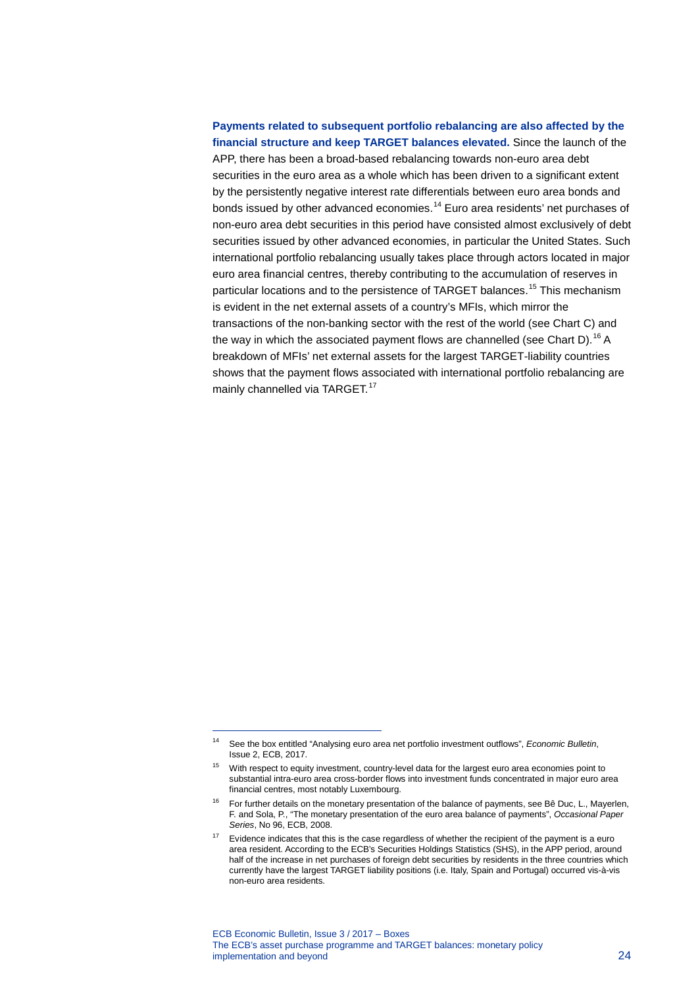## **Payments related to subsequent portfolio rebalancing are also affected by the financial structure and keep TARGET balances elevated.** Since the launch of the APP, there has been a broad-based rebalancing towards non-euro area debt securities in the euro area as a whole which has been driven to a significant extent by the persistently negative interest rate differentials between euro area bonds and bonds issued by other advanced economies. [14](#page-3-0) Euro area residents' net purchases of non-euro area debt securities in this period have consisted almost exclusively of debt securities issued by other advanced economies, in particular the United States. Such international portfolio rebalancing usually takes place through actors located in major euro area financial centres, thereby contributing to the accumulation of reserves in particular locations and to the persistence of TARGET balances.<sup>[15](#page-3-1)</sup> This mechanism is evident in the net external assets of a country's MFIs, which mirror the transactions of the non-banking sector with the rest of the world (see Chart C) and the way in which the associated payment flows are channelled (see Chart D).<sup>[16](#page-3-2)</sup> A breakdown of MFIs' net external assets for the largest TARGET-liability countries shows that the payment flows associated with international portfolio rebalancing are mainly channelled via TARGET.<sup>[17](#page-3-3)</sup>

-

<span id="page-3-0"></span><sup>14</sup> See the box entitled "Analysing euro area net portfolio investment outflows", *Economic Bulletin*, Issue 2, ECB, 2017.

<span id="page-3-1"></span><sup>15</sup> With respect to equity investment, country-level data for the largest euro area economies point to substantial intra-euro area cross-border flows into investment funds concentrated in major euro area financial centres, most notably Luxembourg.

<span id="page-3-2"></span><sup>&</sup>lt;sup>16</sup> For further details on the monetary presentation of the balance of payments, see Bê Duc, L., Mayerlen, F. and Sola, P., "The monetary presentation of the euro area balance of payments", *Occasional Paper Series*, No 96, ECB, 2008.

<span id="page-3-3"></span> $17$  Evidence indicates that this is the case regardless of whether the recipient of the payment is a euro area resident. According to the ECB's Securities Holdings Statistics (SHS), in the APP period, around half of the increase in net purchases of foreign debt securities by residents in the three countries which currently have the largest TARGET liability positions (i.e. Italy, Spain and Portugal) occurred vis-à-vis non-euro area residents.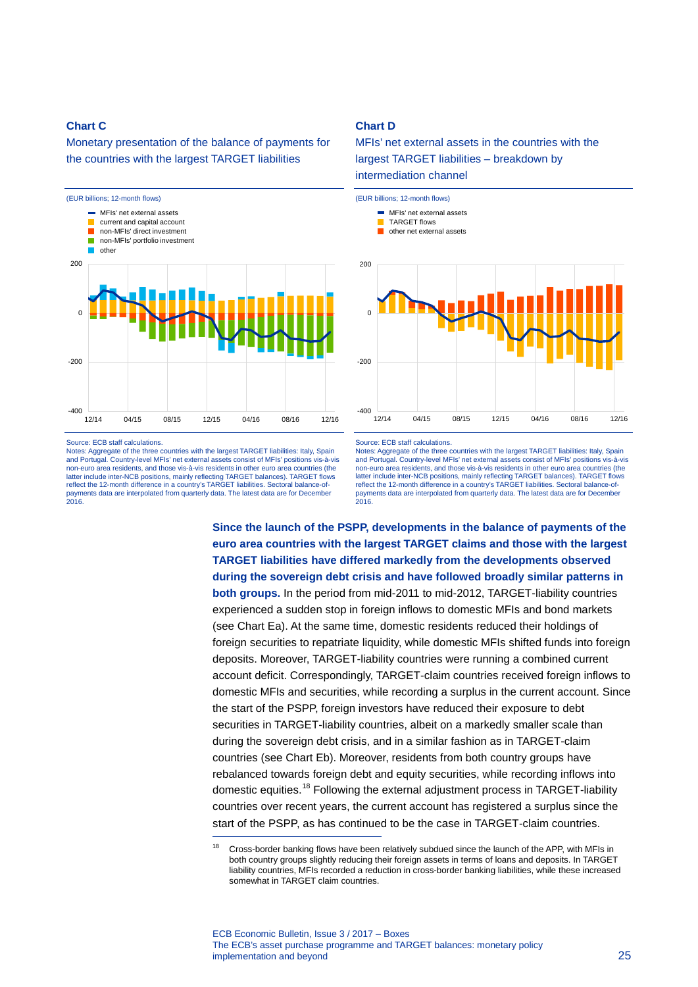### **Chart C**

Monetary presentation of the balance of payments for the countries with the largest TARGET liabilities



Source: ECB staff calculations.

Notes: Aggregate of the three countries with the largest TARGET liabilities: Italy, Spain and Portugal. Country-level MFIs' net external assets consist of MFIs' positions vis-à-vis non-euro area residents, and those vis-à-vis residents in other euro area countries (the latter include inter-NCB positions, mainly reflecting TARGET balances). TARGET flows reflect the 12-month difference in a country's TARGET liabilities. Sectoral balance-ofpayments data are interpolated from quarterly data. The latest data are for December 2016.

-

### **Chart D**

MFIs' net external assets in the countries with the largest TARGET liabilities – breakdown by intermediation channel



#### Source: ECB staff calculations.

Notes: Aggregate of the three countries with the largest TARGET liabilities: Italy, Spain and Portugal. Country-level MFIs' net external assets consist of MFIs' positions vis-à-vis non-euro area residents, and those vis-à-vis residents in other euro area countries (the latter include inter-NCB positions, mainly reflecting TARGET balances). TARGET flows reflect the 12-month difference in a country's TARGET liabilities. Sectoral balance-ofpayments data are interpolated from quarterly data. The latest data are for December 2016.

**Since the launch of the PSPP, developments in the balance of payments of the euro area countries with the largest TARGET claims and those with the largest TARGET liabilities have differed markedly from the developments observed during the sovereign debt crisis and have followed broadly similar patterns in both groups.** In the period from mid-2011 to mid-2012, TARGET-liability countries experienced a sudden stop in foreign inflows to domestic MFIs and bond markets (see Chart Ea). At the same time, domestic residents reduced their holdings of foreign securities to repatriate liquidity, while domestic MFIs shifted funds into foreign deposits. Moreover, TARGET-liability countries were running a combined current account deficit. Correspondingly, TARGET-claim countries received foreign inflows to domestic MFIs and securities, while recording a surplus in the current account. Since the start of the PSPP, foreign investors have reduced their exposure to debt securities in TARGET-liability countries, albeit on a markedly smaller scale than during the sovereign debt crisis, and in a similar fashion as in TARGET-claim countries (see Chart Eb). Moreover, residents from both country groups have rebalanced towards foreign debt and equity securities, while recording inflows into domestic equities.<sup>[18](#page-4-0)</sup> Following the external adjustment process in TARGET-liability countries over recent years, the current account has registered a surplus since the start of the PSPP, as has continued to be the case in TARGET-claim countries.

<span id="page-4-0"></span><sup>&</sup>lt;sup>18</sup> Cross-border banking flows have been relatively subdued since the launch of the APP, with MFIs in both country groups slightly reducing their foreign assets in terms of loans and deposits. In TARGET liability countries, MFIs recorded a reduction in cross-border banking liabilities, while these increased somewhat in TARGET claim countries.